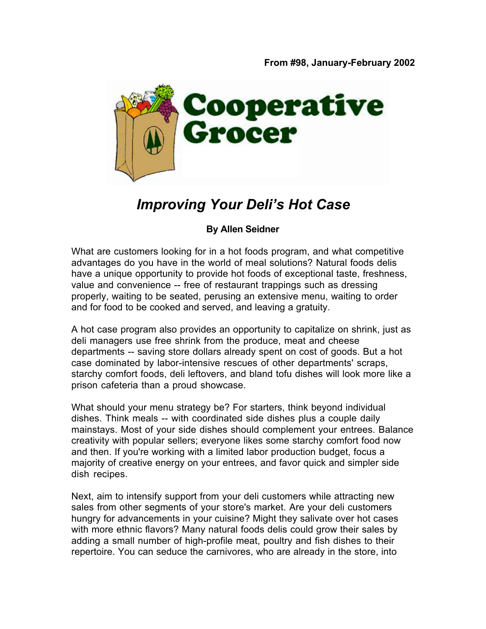

## *Improving Your Deli's Hot Case*

## **By Allen Seidner**

What are customers looking for in a hot foods program, and what competitive advantages do you have in the world of meal solutions? Natural foods delis have a unique opportunity to provide hot foods of exceptional taste, freshness, value and convenience -- free of restaurant trappings such as dressing properly, waiting to be seated, perusing an extensive menu, waiting to order and for food to be cooked and served, and leaving a gratuity.

A hot case program also provides an opportunity to capitalize on shrink, just as deli managers use free shrink from the produce, meat and cheese departments -- saving store dollars already spent on cost of goods. But a hot case dominated by labor-intensive rescues of other departments' scraps, starchy comfort foods, deli leftovers, and bland tofu dishes will look more like a prison cafeteria than a proud showcase.

What should your menu strategy be? For starters, think beyond individual dishes. Think meals -- with coordinated side dishes plus a couple daily mainstays. Most of your side dishes should complement your entrees. Balance creativity with popular sellers; everyone likes some starchy comfort food now and then. If you're working with a limited labor production budget, focus a majority of creative energy on your entrees, and favor quick and simpler side dish recipes.

Next, aim to intensify support from your deli customers while attracting new sales from other segments of your store's market. Are your deli customers hungry for advancements in your cuisine? Might they salivate over hot cases with more ethnic flavors? Many natural foods delis could grow their sales by adding a small number of high-profile meat, poultry and fish dishes to their repertoire. You can seduce the carnivores, who are already in the store, into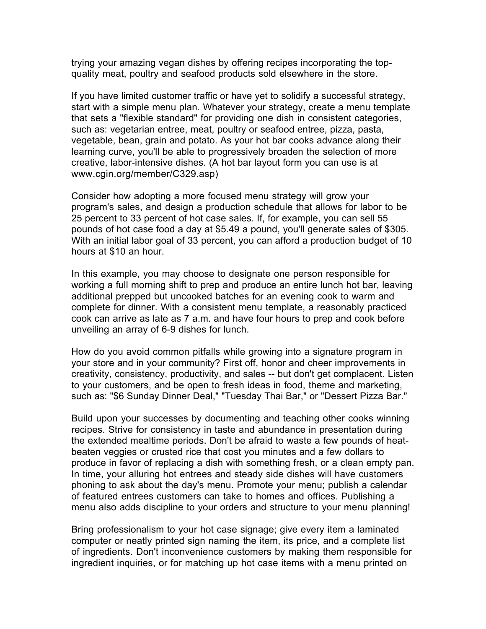trying your amazing vegan dishes by offering recipes incorporating the topquality meat, poultry and seafood products sold elsewhere in the store.

If you have limited customer traffic or have yet to solidify a successful strategy, start with a simple menu plan. Whatever your strategy, create a menu template that sets a "flexible standard" for providing one dish in consistent categories, such as: vegetarian entree, meat, poultry or seafood entree, pizza, pasta, vegetable, bean, grain and potato. As your hot bar cooks advance along their learning curve, you'll be able to progressively broaden the selection of more creative, labor-intensive dishes. (A hot bar layout form you can use is at www.cgin.org/member/C329.asp)

Consider how adopting a more focused menu strategy will grow your program's sales, and design a production schedule that allows for labor to be 25 percent to 33 percent of hot case sales. If, for example, you can sell 55 pounds of hot case food a day at \$5.49 a pound, you'll generate sales of \$305. With an initial labor goal of 33 percent, you can afford a production budget of 10 hours at \$10 an hour.

In this example, you may choose to designate one person responsible for working a full morning shift to prep and produce an entire lunch hot bar, leaving additional prepped but uncooked batches for an evening cook to warm and complete for dinner. With a consistent menu template, a reasonably practiced cook can arrive as late as 7 a.m. and have four hours to prep and cook before unveiling an array of 6-9 dishes for lunch.

How do you avoid common pitfalls while growing into a signature program in your store and in your community? First off, honor and cheer improvements in creativity, consistency, productivity, and sales -- but don't get complacent. Listen to your customers, and be open to fresh ideas in food, theme and marketing, such as: "\$6 Sunday Dinner Deal," "Tuesday Thai Bar," or "Dessert Pizza Bar."

Build upon your successes by documenting and teaching other cooks winning recipes. Strive for consistency in taste and abundance in presentation during the extended mealtime periods. Don't be afraid to waste a few pounds of heatbeaten veggies or crusted rice that cost you minutes and a few dollars to produce in favor of replacing a dish with something fresh, or a clean empty pan. In time, your alluring hot entrees and steady side dishes will have customers phoning to ask about the day's menu. Promote your menu; publish a calendar of featured entrees customers can take to homes and offices. Publishing a menu also adds discipline to your orders and structure to your menu planning!

Bring professionalism to your hot case signage; give every item a laminated computer or neatly printed sign naming the item, its price, and a complete list of ingredients. Don't inconvenience customers by making them responsible for ingredient inquiries, or for matching up hot case items with a menu printed on